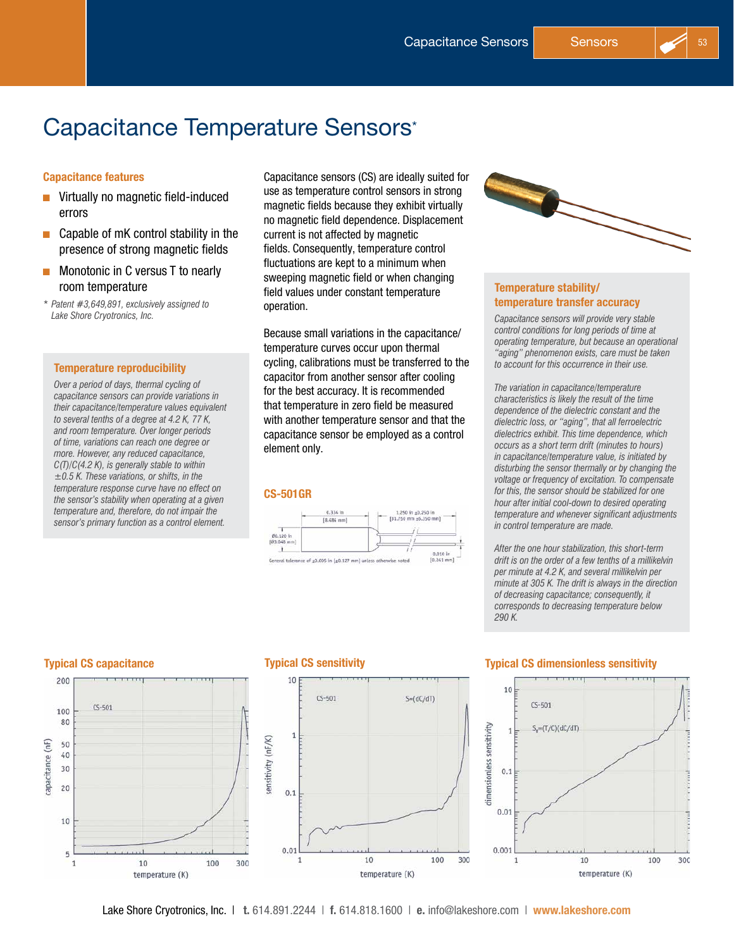# Capacitance Temperature Sensors\*

### Capacitance features

- **D** Virtually no magnetic field-induced errors
- $\Box$  Capable of mK control stability in the presence of strong magnetic fields
- $\blacksquare$  Monotonic in C versus T to nearly room temperature
- *\* Patent #3,649,891, exclusively assigned to Lake Shore Cryotronics, Inc.*

#### Temperature reproducibility

*Over a period of days, thermal cycling of capacitance sensors can provide variations in their capacitance/temperature values equivalent to several tenths of a degree at 4.2 K, 77 K, and room temperature. Over longer periods of time, variations can reach one degree or more. However, any reduced capacitance, C(T)/C(4.2 K), is generally stable to within ±0.5 K. These variations, or shifts, in the temperature response curve have no effect on the sensor's stability when operating at a given temperature and, therefore, do not impair the sensor's primary function as a control element.*

Capacitance sensors (CS) are ideally suited for use as temperature control sensors in strong magnetic fields because they exhibit virtually no magnetic field dependence. Displacement current is not affected by magnetic fields. Consequently, temperature control fluctuations are kept to a minimum when sweeping magnetic field or when changing field values under constant temperature operation.

Because small variations in the capacitance/ temperature curves occur upon thermal cycling, calibrations must be transferred to the capacitor from another sensor after cooling for the best accuracy. It is recommended that temperature in zero field be measured with another temperature sensor and that the capacitance sensor be employed as a control element only.

#### CS-501GR





#### Temperature stability/ temperature transfer accuracy

*Capacitance sensors will provide very stable control conditions for long periods of time at operating temperature, but because an operational "aging" phenomenon exists, care must be taken to account for this occurrence in their use.*

*The variation in capacitance/temperature characteristics is likely the result of the time dependence of the dielectric constant and the dielectric loss, or "aging", that all ferroelectric dielectrics exhibit. This time dependence, which occurs as a short term drift (minutes to hours) in capacitance/temperature value, is initiated by disturbing the sensor thermally or by changing the voltage or frequency of excitation. To compensate for this, the sensor should be stabilized for one hour after initial cool-down to desired operating temperature and whenever significant adjustments in control temperature are made.*

*After the one hour stabilization, this short-term drift is on the order of a few tenths of a millikelvin per minute at 4.2 K, and several millikelvin per minute at 305 K. The drift is always in the direction of decreasing capacitance; consequently, it corresponds to decreasing temperature below 290 K.*





#### Typical CS capacitance Typical CS sensitivity Typical CS dimensionless sensitivity